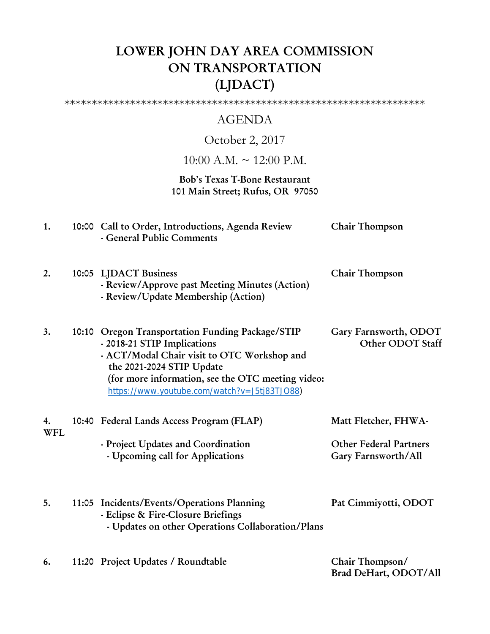# LOWER JOHN DAY AREA COMMISSION ON TRANSPORTATION (LJDACT)

\*\*\*\*\*\*\*\*\*\*\*\*\*\*\*\*\*\*\*\*\*\*\*\*\*\*\*\*\*\*\*\*\*\*\*\*\*\*\*\*\*\*\*\*\*\*\*\*\*\*\*\*\*\*\*\*\*\*\*\*\*\*\*\*\*\*

# AGENDA

# October 2, 2017

 $10:00$  A.M.  $\sim$  12:00 P.M.

## Bob's Texas T-Bone Restaurant 101 Main Street; Rufus, OR 97050

| 1.               | 10:00 Call to Order, Introductions, Agenda Review<br>- General Public Comments                                                                                                                                                                                   | Chair Thompson                                                               |
|------------------|------------------------------------------------------------------------------------------------------------------------------------------------------------------------------------------------------------------------------------------------------------------|------------------------------------------------------------------------------|
| 2.               | 10:05 LJDACT Business<br>- Review/Approve past Meeting Minutes (Action)<br>- Review/Update Membership (Action)                                                                                                                                                   | Chair Thompson                                                               |
| 3.               | 10:10 Oregon Transportation Funding Package/STIP<br>- 2018-21 STIP Implications<br>- ACT/Modal Chair visit to OTC Workshop and<br>the 2021-2024 STIP Update<br>(for more information, see the OTC meeting video:<br>https://www.youtube.com/watch?v=J5tj83TJ088) | Gary Farnsworth, ODOT<br>Other ODOT Staff                                    |
| 4.<br><b>WFL</b> | 10:40 Federal Lands Access Program (FLAP)<br>- Project Updates and Coordination<br>- Upcoming call for Applications                                                                                                                                              | Matt Fletcher, FHWA-<br><b>Other Federal Partners</b><br>Gary Farnsworth/All |
| 5.               | 11:05 Incidents/Events/Operations Planning<br>- Eclipse & Fire-Closure Briefings<br>- Updates on other Operations Collaboration/Plans                                                                                                                            | Pat Cimmiyotti, ODOT                                                         |
| 6.               | 11:20 Project Updates / Roundtable                                                                                                                                                                                                                               | Chair Thompson/<br>Brad DeHart, ODOT/All                                     |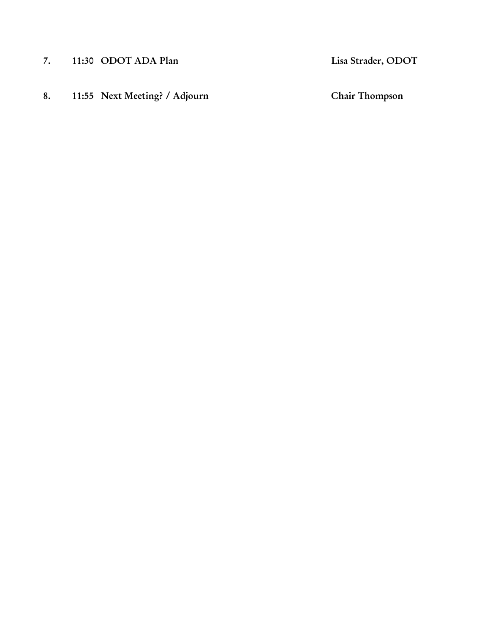- 7. 11:30 ODOT ADA Plan Lisa Strader, ODOT
- 8. 11:55 Next Meeting? / Adjourn Chair Thompson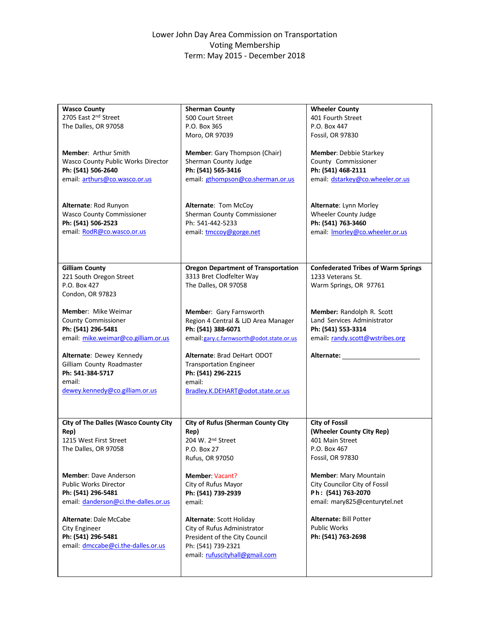#### Lower John Day Area Commission on Transportation Voting Membership Term: May 2015 ‐ December 2018

| <b>Wasco County</b>                          | <b>Sherman County</b>                      | <b>Wheeler County</b>                      |
|----------------------------------------------|--------------------------------------------|--------------------------------------------|
| 2705 East 2nd Street                         | 500 Court Street                           | 401 Fourth Street                          |
| The Dalles, OR 97058                         | P.O. Box 365                               | P.O. Box 447                               |
|                                              |                                            |                                            |
|                                              | Moro, OR 97039                             | Fossil, OR 97830                           |
|                                              |                                            |                                            |
| <b>Member: Arthur Smith</b>                  | Member: Gary Thompson (Chair)              | <b>Member: Debbie Starkey</b>              |
| Wasco County Public Works Director           | Sherman County Judge                       | County Commissioner                        |
| Ph: (541) 506-2640                           | Ph: (541) 565-3416                         | Ph: (541) 468-2111                         |
| email: arthurs@co.wasco.or.us                | email: gthompson@co.sherman.or.us          | email: dstarkey@co.wheeler.or.us           |
|                                              |                                            |                                            |
|                                              |                                            |                                            |
| Alternate: Rod Runyon                        | Alternate: Tom McCoy                       | Alternate: Lynn Morley                     |
| <b>Wasco County Commissioner</b>             | Sherman County Commissioner                | Wheeler County Judge                       |
|                                              | Ph: 541-442-5233                           |                                            |
| Ph: (541) 506-2523                           |                                            | Ph: (541) 763-3460                         |
| email: RodR@co.wasco.or.us                   | email: tmccoy@gorge.net                    | email: <b>Imorley@co.wheeler.or.us</b>     |
|                                              |                                            |                                            |
|                                              |                                            |                                            |
|                                              |                                            |                                            |
| <b>Gilliam County</b>                        | <b>Oregon Department of Transportation</b> | <b>Confederated Tribes of Warm Springs</b> |
| 221 South Oregon Street                      | 3313 Bret Clodfelter Way                   | 1233 Veterans St.                          |
| P.O. Box 427                                 | The Dalles, OR 97058                       | Warm Springs, OR 97761                     |
| Condon, OR 97823                             |                                            |                                            |
|                                              |                                            |                                            |
| <b>Member:</b> Mike Weimar                   | Member: Gary Farnsworth                    | Member: Randolph R. Scott                  |
| <b>County Commissioner</b>                   |                                            | Land Services Administrator                |
|                                              | Region 4 Central & LJD Area Manager        |                                            |
| Ph: (541) 296-5481                           | Ph: (541) 388-6071                         | Ph: (541) 553-3314                         |
| email: mike.weimar@co.gilliam.or.us          | email: gary.c.farnwsorth@odot.state.or.us  | email: randy.scott@wstribes.org            |
|                                              |                                            |                                            |
| Alternate: Dewey Kennedy                     | Alternate: Brad DeHart ODOT                | Alternate:                                 |
| Gilliam County Roadmaster                    | <b>Transportation Engineer</b>             |                                            |
| Ph: 541-384-5717                             | Ph: (541) 296-2215                         |                                            |
| email:                                       | email:                                     |                                            |
| dewey.kennedy@co.gilliam.or.us               | Bradley.K.DEHART@odot.state.or.us          |                                            |
|                                              |                                            |                                            |
|                                              |                                            |                                            |
|                                              |                                            |                                            |
| <b>City of The Dalles (Wasco County City</b> | <b>City of Rufus (Sherman County City</b>  | <b>City of Fossil</b>                      |
| Rep)                                         | Rep)                                       | (Wheeler County City Rep)                  |
| 1215 West First Street                       | 204 W. 2 <sup>nd</sup> Street              | 401 Main Street                            |
| The Dalles, OR 97058                         | P.O. Box 27                                | P.O. Box 467                               |
|                                              |                                            |                                            |
|                                              | Rufus, OR 97050                            | <b>Fossil, OR 97830</b>                    |
|                                              |                                            |                                            |
| <b>Member: Dave Anderson</b>                 | Member: Vacant?                            | Member: Mary Mountain                      |
| <b>Public Works Director</b>                 | City of Rufus Mayor                        | City Councilor City of Fossil              |
| Ph: (541) 296-5481                           | Ph: (541) 739-2939                         | Ph: (541) 763-2070                         |
| email: danderson@ci.the-dalles.or.us         | email:                                     | email: mary825@centurytel.net              |
|                                              |                                            |                                            |
| Alternate: Dale McCabe                       | Alternate: Scott Holiday                   | Alternate: Bill Potter                     |
| <b>City Engineer</b>                         | City of Rufus Administrator                | <b>Public Works</b>                        |
| Ph: (541) 296-5481                           | President of the City Council              | Ph: (541) 763-2698                         |
|                                              |                                            |                                            |
| email: dmccabe@ci.the-dalles.or.us           | Ph: (541) 739-2321                         |                                            |
|                                              | email: rufuscityhall@gmail.com             |                                            |
|                                              |                                            |                                            |
|                                              |                                            |                                            |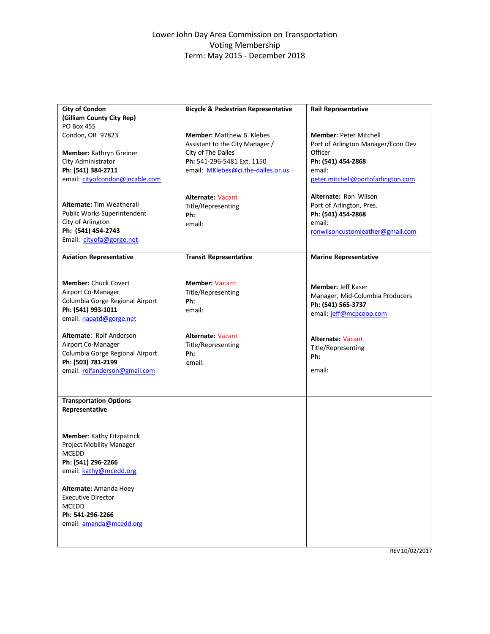#### Lower John Day Area Commission on Transportation Voting Membership Term: May 2015 ‐ December 2018

| City of Condon                   | <b>Bicycle &amp; Pedestrian Representative</b> | <b>Rail Representative</b>         |
|----------------------------------|------------------------------------------------|------------------------------------|
| (Gilliam County City Rep)        |                                                |                                    |
| <b>PO Box 455</b>                |                                                |                                    |
| Condon, OR 97823                 | <b>Member:</b> Matthew B. Klebes               | <b>Member: Peter Mitchell</b>      |
|                                  | Assistant to the City Manager /                | Port of Arlington Manager/Econ Dev |
| Member: Kathryn Greiner          | City of The Dalles                             | Officer                            |
| City Administrator               | Ph: 541-296-5481 Ext. 1150                     | Ph: (541) 454-2868                 |
| Ph: (541) 384-2711               | email: MKlebes@ci.the-dalles.or.us             | email:                             |
| email: cityofcondon@jncable.com  |                                                | peter.mitchell@portofarlington.com |
|                                  |                                                |                                    |
|                                  | <b>Alternate: Vacant</b>                       | Alternate: Ron Wilson              |
| <b>Alternate: Tim Weatherall</b> | Title/Representing                             | Port of Arlington, Pres.           |
| Public Works Superintendent      | Ph:                                            | Ph: (541) 454-2868                 |
| City of Arlington                | email:                                         | email:                             |
| Ph: (541) 454-2743               |                                                | ronwilsoncustomleather@gmail.com   |
| Email: cityofa@gorge.net         |                                                |                                    |
|                                  |                                                |                                    |
| <b>Aviation Representative</b>   | <b>Transit Representative</b>                  | <b>Marine Representative</b>       |
|                                  |                                                |                                    |
|                                  |                                                |                                    |
| <b>Member: Chuck Covert</b>      | <b>Member: Vacant</b>                          | <b>Member: Jeff Kaser</b>          |
| Airport Co-Manager               | Title/Representing                             | Manager, Mid-Columbia Producers    |
| Columbia Gorge Regional Airport  | Ph:                                            |                                    |
| Ph: (541) 993-1011               | email:                                         | Ph: (541) 565-3737                 |
| email: napatd@gorge.net          |                                                | email: jeff@mcpcoop.com            |
|                                  |                                                |                                    |
| Alternate: Rolf Anderson         | <b>Alternate: Vacant</b>                       |                                    |
| Airport Co-Manager               | Title/Representing                             | <b>Alternate: Vacant</b>           |
| Columbia Gorge Regional Airport  | Ph:                                            | Title/Representing                 |
| Ph: (503) 781-2199               | email:                                         | Ph:                                |
| email: rolfanderson@gmail.com    |                                                | email:                             |
|                                  |                                                |                                    |
|                                  |                                                |                                    |
|                                  |                                                |                                    |
| <b>Transportation Options</b>    |                                                |                                    |
| Representative                   |                                                |                                    |
|                                  |                                                |                                    |
|                                  |                                                |                                    |
| Member: Kathy Fitzpatrick        |                                                |                                    |
| Project Mobility Manager         |                                                |                                    |
| <b>MCEDD</b>                     |                                                |                                    |
| Ph: (541) 296-2266               |                                                |                                    |
| email: kathy@mcedd.org           |                                                |                                    |
|                                  |                                                |                                    |
| Alternate: Amanda Hoey           |                                                |                                    |
| <b>Executive Director</b>        |                                                |                                    |
| <b>MCEDD</b>                     |                                                |                                    |
| Ph: 541-296-2266                 |                                                |                                    |
| email: amanda@mcedd.org          |                                                |                                    |
|                                  |                                                |                                    |
|                                  |                                                |                                    |

REV10/02/2017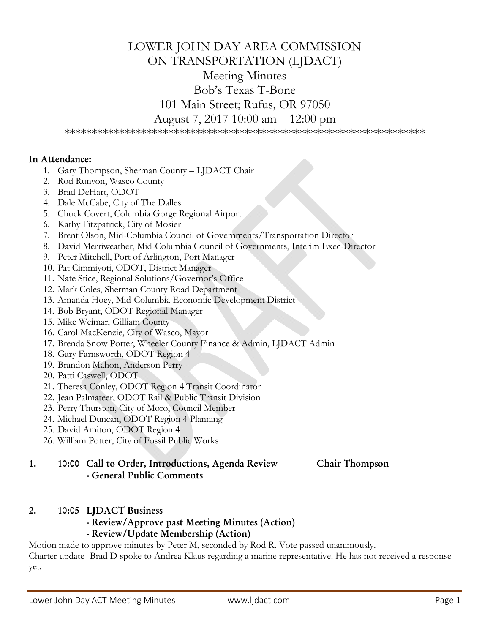# LOWER JOHN DAY AREA COMMISSION ON TRANSPORTATION (LJDACT) Meeting Minutes Bob's Texas T-Bone 101 Main Street; Rufus, OR 97050 August 7, 2017 10:00 am – 12:00 pm

\*\*\*\*\*\*\*\*\*\*\*\*\*\*\*\*\*\*\*\*\*\*\*\*\*\*\*\*\*\*\*\*\*\*\*\*\*\*\*\*\*\*\*\*\*\*\*\*\*\*\*\*\*\*\*\*\*\*\*\*\*\*\*\*\*\*

#### In Attendance:

- 1. Gary Thompson, Sherman County LJDACT Chair
- 2. Rod Runyon, Wasco County
- 3. Brad DeHart, ODOT
- 4. Dale McCabe, City of The Dalles
- 5. Chuck Covert, Columbia Gorge Regional Airport
- 6. Kathy Fitzpatrick, City of Mosier
- 7. Brent Olson, Mid-Columbia Council of Governments/Transportation Director
- 8. David Merriweather, Mid-Columbia Council of Governments, Interim Exec-Director
- 9. Peter Mitchell, Port of Arlington, Port Manager
- 10. Pat Cimmiyoti, ODOT, District Manager
- 11. Nate Stice, Regional Solutions/Governor's Office
- 12. Mark Coles, Sherman County Road Department
- 13. Amanda Hoey, Mid-Columbia Economic Development District
- 14. Bob Bryant, ODOT Regional Manager
- 15. Mike Weimar, Gilliam County
- 16. Carol MacKenzie, City of Wasco, Mayor
- 17. Brenda Snow Potter, Wheeler County Finance & Admin, LJDACT Admin
- 18. Gary Farnsworth, ODOT Region 4
- 19. Brandon Mahon, Anderson Perry
- 20. Patti Caswell, ODOT
- 21. Theresa Conley, ODOT Region 4 Transit Coordinator
- 22. Jean Palmateer, ODOT Rail & Public Transit Division
- 23. Perry Thurston, City of Moro, Council Member
- 24. Michael Duncan, ODOT Region 4 Planning
- 25. David Amiton, ODOT Region 4
- 26. William Potter, City of Fossil Public Works

## 1. 10:00 Call to Order, Introductions, Agenda Review Chair Thompson - General Public Comments

## 2. 10:05 LJDACT Business

- Review/Approve past Meeting Minutes (Action)

# - Review/Update Membership (Action)

Motion made to approve minutes by Peter M, seconded by Rod R. Vote passed unanimously. Charter update- Brad D spoke to Andrea Klaus regarding a marine representative. He has not received a response yet.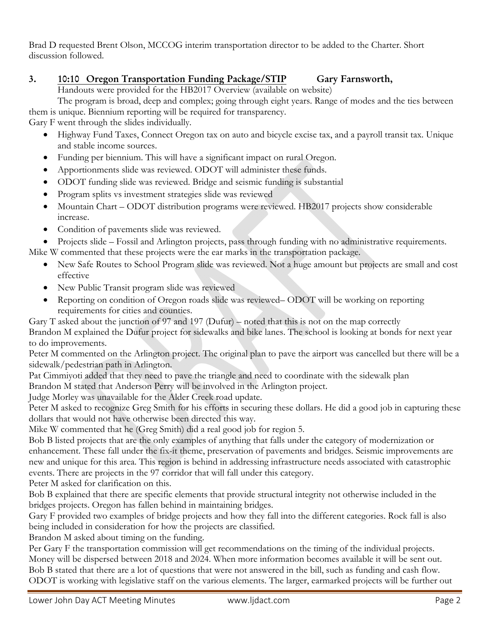Brad D requested Brent Olson, MCCOG interim transportation director to be added to the Charter. Short discussion followed.

# 3. 10:10 Oregon Transportation Funding Package/STIP Gary Farnsworth,

Handouts were provided for the HB2017 Overview (available on website)

 The program is broad, deep and complex; going through eight years. Range of modes and the ties between them is unique. Biennium reporting will be required for transparency.

Gary F went through the slides individually.

- Highway Fund Taxes, Connect Oregon tax on auto and bicycle excise tax, and a payroll transit tax. Unique and stable income sources.
- Funding per biennium. This will have a significant impact on rural Oregon.
- Apportionments slide was reviewed. ODOT will administer these funds.
- ODOT funding slide was reviewed. Bridge and seismic funding is substantial
- Program splits vs investment strategies slide was reviewed
- Mountain Chart ODOT distribution programs were reviewed. HB2017 projects show considerable increase.
- Condition of pavements slide was reviewed.
- Projects slide Fossil and Arlington projects, pass through funding with no administrative requirements.

Mike W commented that these projects were the ear marks in the transportation package.

- New Safe Routes to School Program slide was reviewed. Not a huge amount but projects are small and cost effective
- New Public Transit program slide was reviewed
- Reporting on condition of Oregon roads slide was reviewed– ODOT will be working on reporting requirements for cities and counties.

Gary T asked about the junction of 97 and 197 (Dufur) – noted that this is not on the map correctly Brandon M explained the Dufur project for sidewalks and bike lanes. The school is looking at bonds for next year to do improvements.

Peter M commented on the Arlington project. The original plan to pave the airport was cancelled but there will be a sidewalk/pedestrian path in Arlington.

Pat Cimmiyoti added that they need to pave the triangle and need to coordinate with the sidewalk plan Brandon M stated that Anderson Perry will be involved in the Arlington project.

Judge Morley was unavailable for the Alder Creek road update.

Peter M asked to recognize Greg Smith for his efforts in securing these dollars. He did a good job in capturing these dollars that would not have otherwise been directed this way.

Mike W commented that he (Greg Smith) did a real good job for region 5.

Bob B listed projects that are the only examples of anything that falls under the category of modernization or enhancement. These fall under the fix-it theme, preservation of pavements and bridges. Seismic improvements are new and unique for this area. This region is behind in addressing infrastructure needs associated with catastrophic events. There are projects in the 97 corridor that will fall under this category.

Peter M asked for clarification on this.

Bob B explained that there are specific elements that provide structural integrity not otherwise included in the bridges projects. Oregon has fallen behind in maintaining bridges.

Gary F provided two examples of bridge projects and how they fall into the different categories. Rock fall is also being included in consideration for how the projects are classified.

Brandon M asked about timing on the funding.

Per Gary F the transportation commission will get recommendations on the timing of the individual projects. Money will be dispersed between 2018 and 2024. When more information becomes available it will be sent out. Bob B stated that there are a lot of questions that were not answered in the bill, such as funding and cash flow. ODOT is working with legislative staff on the various elements. The larger, earmarked projects will be further out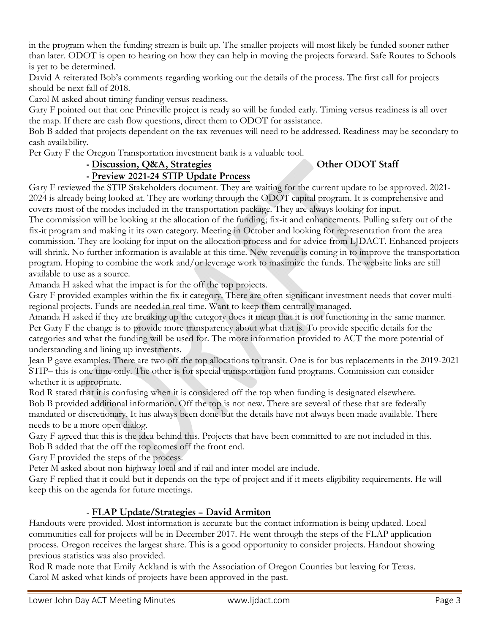in the program when the funding stream is built up. The smaller projects will most likely be funded sooner rather than later. ODOT is open to hearing on how they can help in moving the projects forward. Safe Routes to Schools is yet to be determined.

David A reiterated Bob's comments regarding working out the details of the process. The first call for projects should be next fall of 2018.

Carol M asked about timing funding versus readiness.

Gary F pointed out that one Prineville project is ready so will be funded early. Timing versus readiness is all over the map. If there are cash flow questions, direct them to ODOT for assistance.

Bob B added that projects dependent on the tax revenues will need to be addressed. Readiness may be secondary to cash availability.

Per Gary F the Oregon Transportation investment bank is a valuable tool.

# - Discussion, Q&A, Strategies Other ODOT Staff

- Preview 2021-24 STIP Update Process

Gary F reviewed the STIP Stakeholders document. They are waiting for the current update to be approved. 2021- 2024 is already being looked at. They are working through the ODOT capital program. It is comprehensive and covers most of the modes included in the transportation package. They are always looking for input.

The commission will be looking at the allocation of the funding; fix-it and enhancements. Pulling safety out of the fix-it program and making it its own category. Meeting in October and looking for representation from the area commission. They are looking for input on the allocation process and for advice from LJDACT. Enhanced projects will shrink. No further information is available at this time. New revenue is coming in to improve the transportation program. Hoping to combine the work and/or leverage work to maximize the funds. The website links are still available to use as a source.

Amanda H asked what the impact is for the off the top projects.

Gary F provided examples within the fix-it category. There are often significant investment needs that cover multiregional projects. Funds are needed in real time. Want to keep them centrally managed.

Amanda H asked if they are breaking up the category does it mean that it is not functioning in the same manner. Per Gary F the change is to provide more transparency about what that is. To provide specific details for the categories and what the funding will be used for. The more information provided to ACT the more potential of understanding and lining up investments.

Jean P gave examples. There are two off the top allocations to transit. One is for bus replacements in the 2019-2021 STIP– this is one time only. The other is for special transportation fund programs. Commission can consider whether it is appropriate.

Rod R stated that it is confusing when it is considered off the top when funding is designated elsewhere. Bob B provided additional information. Off the top is not new. There are several of these that are federally mandated or discretionary. It has always been done but the details have not always been made available. There needs to be a more open dialog.

Gary F agreed that this is the idea behind this. Projects that have been committed to are not included in this. Bob B added that the off the top comes off the front end.

Gary F provided the steps of the process.

Peter M asked about non-highway local and if rail and inter-model are include.

Gary F replied that it could but it depends on the type of project and if it meets eligibility requirements. He will keep this on the agenda for future meetings.

# - FLAP Update/Strategies – David Armiton

Handouts were provided. Most information is accurate but the contact information is being updated. Local communities call for projects will be in December 2017. He went through the steps of the FLAP application process. Oregon receives the largest share. This is a good opportunity to consider projects. Handout showing previous statistics was also provided.

Rod R made note that Emily Ackland is with the Association of Oregon Counties but leaving for Texas. Carol M asked what kinds of projects have been approved in the past.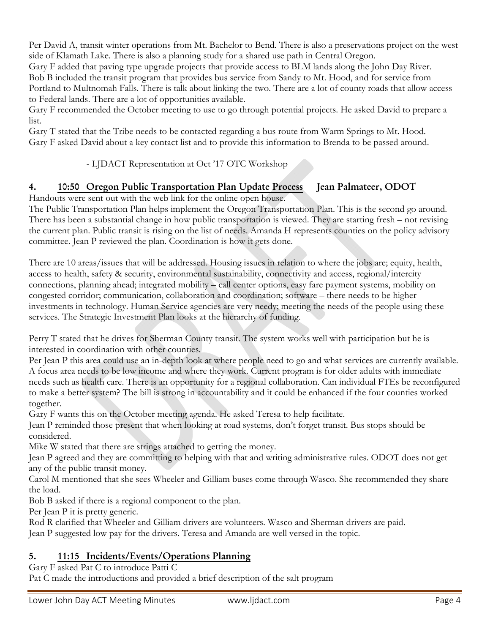Per David A, transit winter operations from Mt. Bachelor to Bend. There is also a preservations project on the west side of Klamath Lake. There is also a planning study for a shared use path in Central Oregon.

Gary F added that paving type upgrade projects that provide access to BLM lands along the John Day River. Bob B included the transit program that provides bus service from Sandy to Mt. Hood, and for service from Portland to Multnomah Falls. There is talk about linking the two. There are a lot of county roads that allow access to Federal lands. There are a lot of opportunities available.

Gary F recommended the October meeting to use to go through potential projects. He asked David to prepare a list.

Gary T stated that the Tribe needs to be contacted regarding a bus route from Warm Springs to Mt. Hood. Gary F asked David about a key contact list and to provide this information to Brenda to be passed around.

## - LJDACT Representation at Oct '17 OTC Workshop

# 4. 10:50 Oregon Public Transportation Plan Update Process Jean Palmateer, ODOT

Handouts were sent out with the web link for the online open house.

The Public Transportation Plan helps implement the Oregon Transportation Plan. This is the second go around. There has been a substantial change in how public transportation is viewed. They are starting fresh – not revising the current plan. Public transit is rising on the list of needs. Amanda H represents counties on the policy advisory committee. Jean P reviewed the plan. Coordination is how it gets done.

There are 10 areas/issues that will be addressed. Housing issues in relation to where the jobs are; equity, health, access to health, safety & security, environmental sustainability, connectivity and access, regional/intercity connections, planning ahead; integrated mobility – call center options, easy fare payment systems, mobility on congested corridor; communication, collaboration and coordination; software – there needs to be higher investments in technology. Human Service agencies are very needy; meeting the needs of the people using these services. The Strategic Investment Plan looks at the hierarchy of funding.

Perry T stated that he drives for Sherman County transit. The system works well with participation but he is interested in coordination with other counties.

Per Jean P this area could use an in-depth look at where people need to go and what services are currently available. A focus area needs to be low income and where they work. Current program is for older adults with immediate needs such as health care. There is an opportunity for a regional collaboration. Can individual FTEs be reconfigured to make a better system? The bill is strong in accountability and it could be enhanced if the four counties worked together.

Gary F wants this on the October meeting agenda. He asked Teresa to help facilitate.

Jean P reminded those present that when looking at road systems, don't forget transit. Bus stops should be considered.

Mike W stated that there are strings attached to getting the money.

Jean P agreed and they are committing to helping with that and writing administrative rules. ODOT does not get any of the public transit money.

Carol M mentioned that she sees Wheeler and Gilliam buses come through Wasco. She recommended they share the load.

Bob B asked if there is a regional component to the plan.

Per Jean P it is pretty generic.

Rod R clarified that Wheeler and Gilliam drivers are volunteers. Wasco and Sherman drivers are paid. Jean P suggested low pay for the drivers. Teresa and Amanda are well versed in the topic.

# 5. 11:15 Incidents/Events/Operations Planning

Gary F asked Pat C to introduce Patti C Pat C made the introductions and provided a brief description of the salt program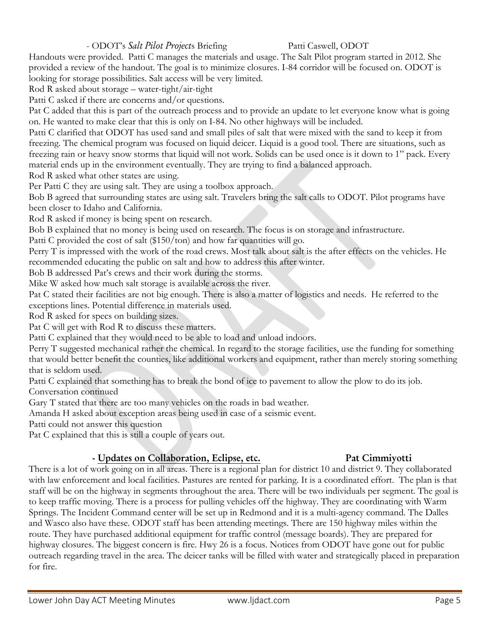#### - ODOT's *Salt Pilot Projects* Briefing Patti Caswell, ODOT

Handouts were provided. Patti C manages the materials and usage. The Salt Pilot program started in 2012. She provided a review of the handout. The goal is to minimize closures. I-84 corridor will be focused on. ODOT is looking for storage possibilities. Salt access will be very limited.

Rod R asked about storage – water-tight/air-tight

Patti C asked if there are concerns and/or questions.

Pat C added that this is part of the outreach process and to provide an update to let everyone know what is going on. He wanted to make clear that this is only on I-84. No other highways will be included.

Patti C clarified that ODOT has used sand and small piles of salt that were mixed with the sand to keep it from freezing. The chemical program was focused on liquid deicer. Liquid is a good tool. There are situations, such as freezing rain or heavy snow storms that liquid will not work. Solids can be used once is it down to 1" pack. Every material ends up in the environment eventually. They are trying to find a balanced approach.

Rod R asked what other states are using.

Per Patti C they are using salt. They are using a toolbox approach.

Bob B agreed that surrounding states are using salt. Travelers bring the salt calls to ODOT. Pilot programs have been closer to Idaho and California.

Rod R asked if money is being spent on research.

Bob B explained that no money is being used on research. The focus is on storage and infrastructure.

Patti C provided the cost of salt (\$150/ton) and how far quantities will go.

Perry T is impressed with the work of the road crews. Most talk about salt is the after effects on the vehicles. He recommended educating the public on salt and how to address this after winter.

Bob B addressed Pat's crews and their work during the storms.

Mike W asked how much salt storage is available across the river.

Pat C stated their facilities are not big enough. There is also a matter of logistics and needs. He referred to the exceptions lines. Potential difference in materials used.

Rod R asked for specs on building sizes.

Pat C will get with Rod R to discuss these matters.

Patti C explained that they would need to be able to load and unload indoors.

Perry T suggested mechanical rather the chemical. In regard to the storage facilities, use the funding for something that would better benefit the counties, like additional workers and equipment, rather than merely storing something that is seldom used.

Patti C explained that something has to break the bond of ice to pavement to allow the plow to do its job. Conversation continued

Gary T stated that there are too many vehicles on the roads in bad weather.

Amanda H asked about exception areas being used in case of a seismic event.

Patti could not answer this question

Pat C explained that this is still a couple of years out.

## - Updates on Collaboration, Eclipse, etc. Pat Cimmiyotti

#### There is a lot of work going on in all areas. There is a regional plan for district 10 and district 9. They collaborated with law enforcement and local facilities. Pastures are rented for parking. It is a coordinated effort. The plan is that staff will be on the highway in segments throughout the area. There will be two individuals per segment. The goal is to keep traffic moving. There is a process for pulling vehicles off the highway. They are coordinating with Warm Springs. The Incident Command center will be set up in Redmond and it is a multi-agency command. The Dalles and Wasco also have these. ODOT staff has been attending meetings. There are 150 highway miles within the route. They have purchased additional equipment for traffic control (message boards). They are prepared for highway closures. The biggest concern is fire. Hwy 26 is a focus. Notices from ODOT have gone out for public outreach regarding travel in the area. The deicer tanks will be filled with water and strategically placed in preparation for fire.